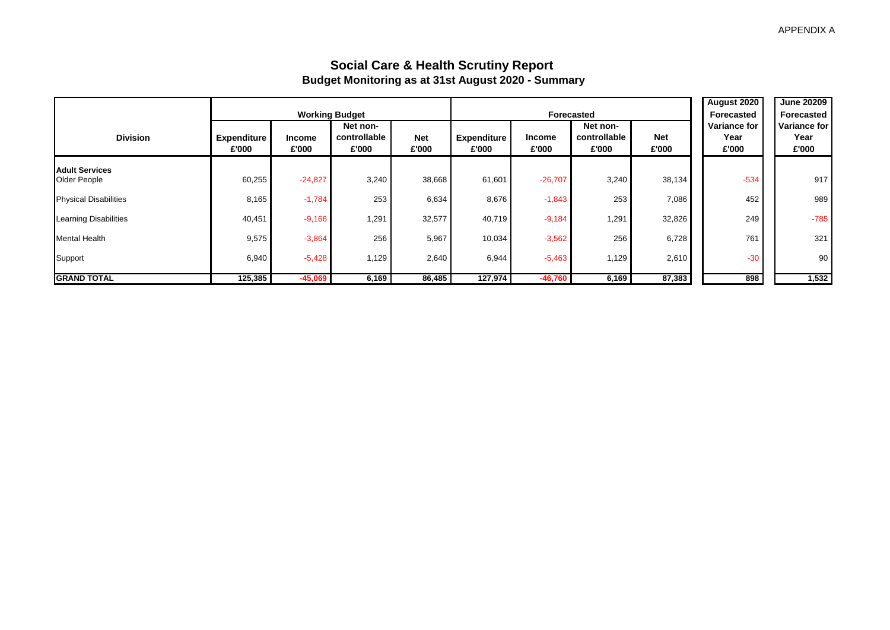### **Social Care & Health Scrutiny Report Budget Monitoring as at 31st August 2020 - Summary**

|                              |                             |                        | <b>Working Budget</b>             |                     |                             | Forecasted      | <b>August 2020</b><br>Forecasted  | <b>June 20209</b><br>Forecasted |                               |                               |
|------------------------------|-----------------------------|------------------------|-----------------------------------|---------------------|-----------------------------|-----------------|-----------------------------------|---------------------------------|-------------------------------|-------------------------------|
| <b>Division</b>              | <b>Expenditure</b><br>£'000 | <b>Income</b><br>£'000 | Net non-<br>controllable<br>£'000 | <b>Net</b><br>£'000 | <b>Expenditure</b><br>£'000 | Income<br>£'000 | Net non-<br>controllable<br>£'000 | <b>Net</b><br>£'000             | Variance for<br>Year<br>£'000 | Variance for<br>Year<br>£'000 |
| <b>Adult Services</b>        |                             |                        |                                   |                     |                             |                 |                                   |                                 |                               |                               |
| Older People                 | 60,255                      | $-24,827$              | 3,240                             | 38,668              | 61,601                      | $-26,707$       | 3,240                             | 38,134                          | $-534$                        | 917                           |
| <b>Physical Disabilities</b> | 8,165                       | $-1,784$               | 253                               | 6,634               | 8,676                       | $-1,843$        | 253                               | 7,086                           | 452                           | 989                           |
| Learning Disabilities        | 40,451                      | $-9,166$               | 1,291                             | 32,577              | 40,719                      | $-9,184$        | 1,291                             | 32,826                          | 249                           | $-785$                        |
| <b>Mental Health</b>         | 9,575                       | $-3,864$               | 256                               | 5,967               | 10,034                      | $-3,562$        | 256                               | 6,728                           | 761                           | 321                           |
| Support                      | 6,940                       | $-5,428$               | 1,129                             | 2,640               | 6,944                       | $-5,463$        | 1,129                             | 2,610                           | $-30$                         | 90                            |
| <b>GRAND TOTAL</b>           | 125, 385                    | $-45,069$              | 6,169                             | 86,485              | 127,974                     | $-46,760$       | 6,169                             | 87,383                          | 898                           | 1,532                         |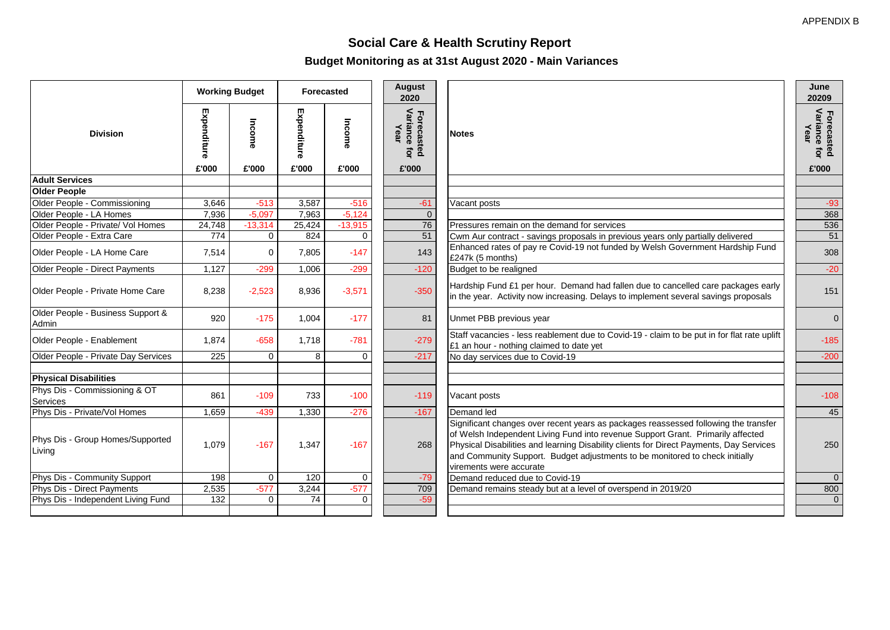**June 20209**

# **Social Care & Health Scrutiny Report**

**Budget Monitoring as at 31st August 2020 - Main Variances**

|                                            |             | <b>Working Budget</b> | Forecasted  |           | <b>August</b><br>2020                   |                                                                                                                                                                                                                                                                                                                                                                              | June<br>20209                      |
|--------------------------------------------|-------------|-----------------------|-------------|-----------|-----------------------------------------|------------------------------------------------------------------------------------------------------------------------------------------------------------------------------------------------------------------------------------------------------------------------------------------------------------------------------------------------------------------------------|------------------------------------|
| <b>Division</b>                            | Expenditure | Income                | Expenditure | Income    | Forecasted<br>Variance for<br>Year<br>ţ | <b>Notes</b>                                                                                                                                                                                                                                                                                                                                                                 | Forecasted<br>Variance for<br>Year |
|                                            | £'000       | £'000                 | £'000       | £'000     | £'000                                   |                                                                                                                                                                                                                                                                                                                                                                              | £'000                              |
| <b>Adult Services</b>                      |             |                       |             |           |                                         |                                                                                                                                                                                                                                                                                                                                                                              |                                    |
| <b>Older People</b>                        |             |                       |             |           |                                         |                                                                                                                                                                                                                                                                                                                                                                              |                                    |
| Older People - Commissioning               | 3,646       | $-513$                | 3,587       | $-516$    | $-61$                                   | Vacant posts                                                                                                                                                                                                                                                                                                                                                                 | $-93$                              |
| Older People - LA Homes                    | 7,936       | $-5,097$              | 7,963       | $-5,124$  | $\Omega$                                |                                                                                                                                                                                                                                                                                                                                                                              | 368                                |
| Older People - Private/ Vol Homes          | 24,748      | $-13,314$             | 25,424      | $-13,915$ | 76                                      | Pressures remain on the demand for services                                                                                                                                                                                                                                                                                                                                  | 536                                |
| Older People - Extra Care                  | 774         | $\overline{0}$        | 824         | 0         | 51                                      | Cwm Aur contract - savings proposals in previous years only partially delivered                                                                                                                                                                                                                                                                                              | 51                                 |
| Older People - LA Home Care                | 7,514       | $\Omega$              | 7,805       | $-147$    | 143                                     | Enhanced rates of pay re Covid-19 not funded by Welsh Government Hardship Fund<br>£247k (5 months)                                                                                                                                                                                                                                                                           | 308                                |
| Older People - Direct Payments             | 1,127       | $-299$                | 1,006       | $-299$    | $-120$                                  | Budget to be realigned                                                                                                                                                                                                                                                                                                                                                       | $-20$                              |
| Older People - Private Home Care           | 8,238       | $-2,523$              | 8,936       | $-3,571$  | $-350$                                  | Hardship Fund £1 per hour. Demand had fallen due to cancelled care packages early<br>in the year. Activity now increasing. Delays to implement several savings proposals                                                                                                                                                                                                     | 151                                |
| Older People - Business Support &<br>Admin | 920         | $-175$                | 1,004       | $-177$    | 81                                      | Unmet PBB previous year                                                                                                                                                                                                                                                                                                                                                      | $\mathbf{0}$                       |
| Older People - Enablement                  | 1,874       | $-658$                | 1.718       | $-781$    | $-279$                                  | Staff vacancies - less reablement due to Covid-19 - claim to be put in for flat rate uplift<br>£1 an hour - nothing claimed to date yet                                                                                                                                                                                                                                      | $-185$                             |
| Older People - Private Day Services        | 225         | $\mathbf{0}$          | 8           | 0         | $-217$                                  | No day services due to Covid-19                                                                                                                                                                                                                                                                                                                                              | $-200$                             |
| <b>Physical Disabilities</b>               |             |                       |             |           |                                         |                                                                                                                                                                                                                                                                                                                                                                              |                                    |
| Phys Dis - Commissioning & OT<br>Services  | 861         | $-109$                | 733         | $-100$    | $-119$                                  | Vacant posts                                                                                                                                                                                                                                                                                                                                                                 | $-108$                             |
| Phys Dis - Private/Vol Homes               | 1,659       | $-439$                | 1,330       | $-276$    | $-167$                                  | Demand led                                                                                                                                                                                                                                                                                                                                                                   | 45                                 |
| Phys Dis - Group Homes/Supported<br>Living | 1.079       | $-167$                | 1.347       | $-167$    | 268                                     | Significant changes over recent years as packages reassessed following the transfer<br>of Welsh Independent Living Fund into revenue Support Grant. Primarily affected<br>Physical Disabilities and learning Disability clients for Direct Payments, Day Services<br>and Community Support. Budget adjustments to be monitored to check initially<br>virements were accurate | 250                                |
| Phys Dis - Community Support               | 198         | $\mathbf 0$           | 120         | 0         | $-79$                                   | Demand reduced due to Covid-19                                                                                                                                                                                                                                                                                                                                               | $\mathbf{0}$                       |
| Phys Dis - Direct Payments                 | 2,535       | $-577$                | 3,244       | $-577$    | 709                                     | Demand remains steady but at a level of overspend in 2019/20                                                                                                                                                                                                                                                                                                                 | 800                                |
| Phys Dis - Independent Living Fund         | 132         | $\Omega$              | 74          | $\Omega$  | $-59$                                   |                                                                                                                                                                                                                                                                                                                                                                              | $\mathbf 0$                        |
|                                            |             |                       |             |           |                                         |                                                                                                                                                                                                                                                                                                                                                                              |                                    |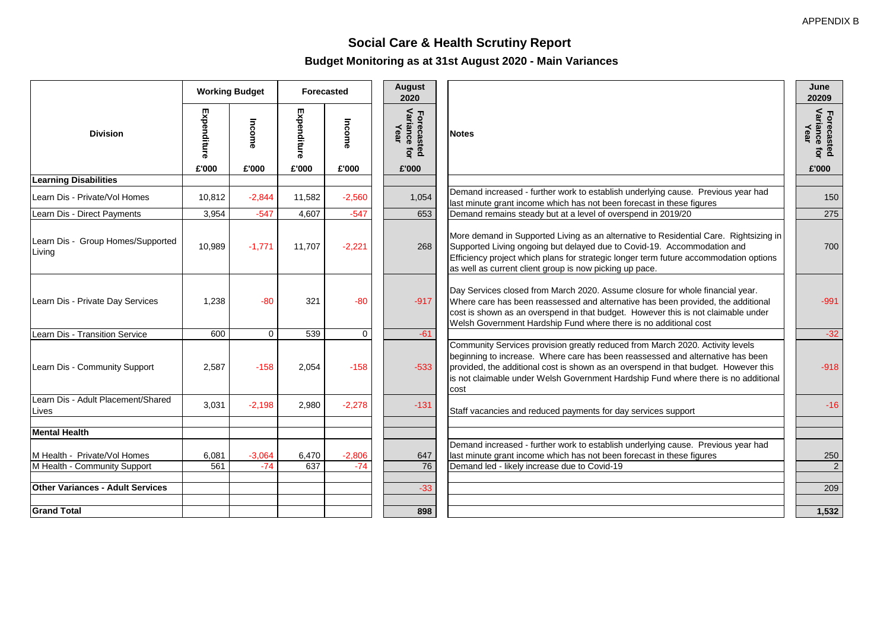## **Social Care & Health Scrutiny Report Budget Monitoring as at 31st August 2020 - Main Variances**

|                                                              | <b>Working Budget</b> |                   | Forecasted   |                   | <b>August</b><br>2020                      |                                                                                                                                                                                                                                                                                                                                                      | June<br>20209                      |
|--------------------------------------------------------------|-----------------------|-------------------|--------------|-------------------|--------------------------------------------|------------------------------------------------------------------------------------------------------------------------------------------------------------------------------------------------------------------------------------------------------------------------------------------------------------------------------------------------------|------------------------------------|
| <b>Division</b>                                              | Expenditure           | Income            | Expenditure  | Income            | Variance<br>Year<br>Forecaste<br>ior<br>Ö. | <b>Notes</b>                                                                                                                                                                                                                                                                                                                                         | Forecasted<br>Variance for<br>Year |
|                                                              | £'000                 | £'000             | £'000        | £'000             | £'000                                      |                                                                                                                                                                                                                                                                                                                                                      | £'000                              |
| <b>Learning Disabilities</b>                                 |                       |                   |              |                   |                                            |                                                                                                                                                                                                                                                                                                                                                      |                                    |
| Learn Dis - Private/Vol Homes                                | 10.812                | $-2.844$          | 11.582       | $-2,560$          | 1,054                                      | Demand increased - further work to establish underlying cause. Previous year had<br>last minute grant income which has not been forecast in these figures                                                                                                                                                                                            | 150                                |
| Learn Dis - Direct Payments                                  | 3,954                 | $-547$            | 4,607        | $-547$            | 653                                        | Demand remains steady but at a level of overspend in 2019/20                                                                                                                                                                                                                                                                                         | 275                                |
| Learn Dis - Group Homes/Supported<br>Living                  | 10,989                | $-1,771$          | 11.707       | $-2,221$          | 268                                        | More demand in Supported Living as an alternative to Residential Care. Rightsizing in<br>Supported Living ongoing but delayed due to Covid-19. Accommodation and<br>Efficiency project which plans for strategic longer term future accommodation options<br>as well as current client group is now picking up pace.                                 | 700                                |
| Learn Dis - Private Day Services                             | 1,238                 | $-80$             | 321          | $-80$             | $-917$                                     | Day Services closed from March 2020. Assume closure for whole financial year.<br>Where care has been reassessed and alternative has been provided, the additional<br>cost is shown as an overspend in that budget. However this is not claimable under<br>Welsh Government Hardship Fund where there is no additional cost                           | $-991$                             |
| Learn Dis - Transition Service                               | 600                   | $\mathbf 0$       | 539          | 0                 | $-61$                                      |                                                                                                                                                                                                                                                                                                                                                      | $-32$                              |
| Learn Dis - Community Support                                | 2,587                 | $-158$            | 2,054        | $-158$            | $-533$                                     | Community Services provision greatly reduced from March 2020. Activity levels<br>beginning to increase. Where care has been reassessed and alternative has been<br>provided, the additional cost is shown as an overspend in that budget. However this<br>is not claimable under Welsh Government Hardship Fund where there is no additional<br>cost | $-918$                             |
| Learn Dis - Adult Placement/Shared<br>Lives                  | 3,031                 | $-2.198$          | 2.980        | $-2.278$          | $-131$                                     | Staff vacancies and reduced payments for day services support                                                                                                                                                                                                                                                                                        | $-16$                              |
| <b>Mental Health</b>                                         |                       |                   |              |                   |                                            |                                                                                                                                                                                                                                                                                                                                                      |                                    |
| M Health - Private/Vol Homes<br>M Health - Community Support | 6,081<br>561          | $-3,064$<br>$-74$ | 6,470<br>637 | $-2,806$<br>$-74$ | 647<br>76                                  | Demand increased - further work to establish underlying cause. Previous year had<br>last minute grant income which has not been forecast in these figures<br>Demand led - likely increase due to Covid-19                                                                                                                                            | 250<br>2                           |
| <b>Other Variances - Adult Services</b>                      |                       |                   |              |                   | $-33$                                      |                                                                                                                                                                                                                                                                                                                                                      | 209                                |
| <b>Grand Total</b>                                           |                       |                   |              |                   |                                            |                                                                                                                                                                                                                                                                                                                                                      |                                    |
|                                                              |                       |                   |              |                   | 898                                        |                                                                                                                                                                                                                                                                                                                                                      | 1,532                              |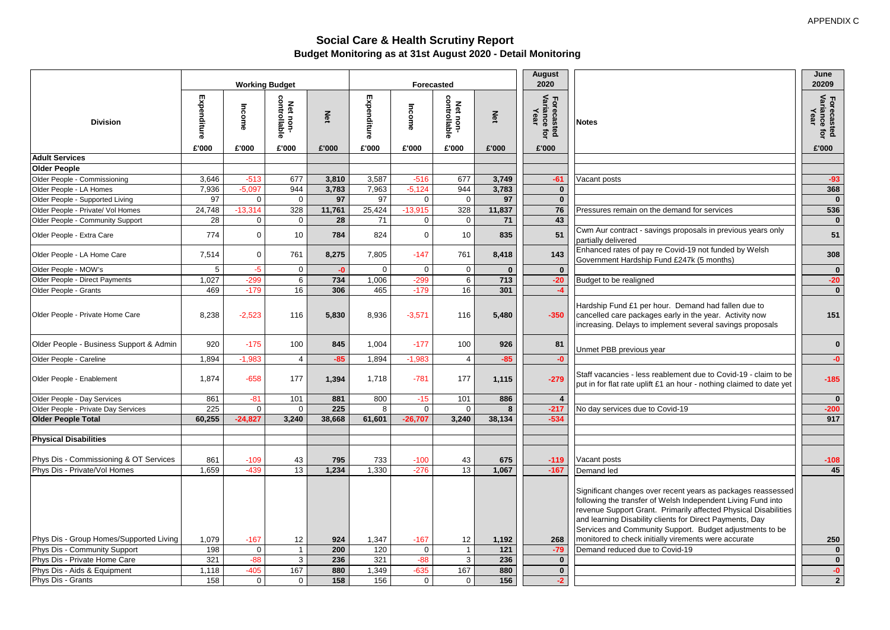#### **Social Care & Health Scrutiny Report Budget Monitoring as at 31st August 2020 - Detail Monitoring**

|                                         |                      |                 |                                   |              |                      |                 |                                   |              | <b>August</b>                                    |                                                                                                                                                                                                                                                                                                                         | June                                        |
|-----------------------------------------|----------------------|-----------------|-----------------------------------|--------------|----------------------|-----------------|-----------------------------------|--------------|--------------------------------------------------|-------------------------------------------------------------------------------------------------------------------------------------------------------------------------------------------------------------------------------------------------------------------------------------------------------------------------|---------------------------------------------|
|                                         |                      |                 | <b>Working Budget</b>             |              |                      |                 | Forecasted                        |              | 2020                                             |                                                                                                                                                                                                                                                                                                                         | 20209                                       |
| <b>Division</b>                         | Expenditure<br>£'000 | Income<br>£'000 | controllable<br>Net non-<br>£'000 | Net<br>£'000 | Expenditure<br>£'000 | Income<br>£'000 | controllable<br>Net non-<br>£'000 | Net<br>£'000 | Forecast<br>Variance<br>Year<br>ត្ត ក្ន<br>£'000 | <b>Notes</b>                                                                                                                                                                                                                                                                                                            | Forecasted<br>Variance for<br>Year<br>£'000 |
| <b>Adult Services</b>                   |                      |                 |                                   |              |                      |                 |                                   |              |                                                  |                                                                                                                                                                                                                                                                                                                         |                                             |
| <b>Older People</b>                     |                      |                 |                                   |              |                      |                 |                                   |              |                                                  |                                                                                                                                                                                                                                                                                                                         |                                             |
| Older People - Commissioning            | 3,646                | $-513$          | 677                               | 3,810        | 3,587                | $-516$          | 677                               | 3,749        | $-61$                                            | Vacant posts                                                                                                                                                                                                                                                                                                            | $-93$                                       |
| Older People - LA Homes                 | 7,936                | $-5.097$        | 944                               | 3,783        | 7,963                | $-5,124$        | 944                               | 3,783        | $\mathbf{0}$                                     |                                                                                                                                                                                                                                                                                                                         | 368                                         |
| Older People - Supported Living         | 97                   | $\mathbf 0$     | $\boldsymbol{0}$                  | 97           | 97                   | $\Omega$        | $\Omega$                          | 97           | $\mathbf{0}$                                     |                                                                                                                                                                                                                                                                                                                         | $\mathbf 0$                                 |
| Older People - Private/ Vol Homes       | 24,748               | $-13,314$       | 328                               | 11,761       | 25,424               | $-13,915$       | 328                               | 11,837       | 76                                               | Pressures remain on the demand for services                                                                                                                                                                                                                                                                             | 536                                         |
| Older People - Community Support        | $\overline{28}$      | $\mathbf 0$     | $\mathbf 0$                       | 28           | 71                   | $\mathbf 0$     | $\mathbf 0$                       | 71           | 43                                               |                                                                                                                                                                                                                                                                                                                         | $\mathbf 0$                                 |
| Older People - Extra Care               | 774                  | $\mathbf 0$     | 10                                | 784          | 824                  | $\mathbf 0$     | 10                                | 835          | 51                                               | Cwm Aur contract - savings proposals in previous years only<br>partially delivered                                                                                                                                                                                                                                      | 51                                          |
| Older People - LA Home Care             | 7,514                | $\mathbf{0}$    | 761                               | 8,275        | 7,805                | $-147$          | 761                               | 8,418        | 143                                              | Enhanced rates of pay re Covid-19 not funded by Welsh<br>Government Hardship Fund £247k (5 months)                                                                                                                                                                                                                      | 308                                         |
| Older People - MOW's                    | 5                    | $-5$            | $\mathbf 0$                       | $-0$         | $\mathbf 0$          | $\mathbf 0$     | $\mathbf 0$                       | $\mathbf{0}$ | $\bf{0}$                                         |                                                                                                                                                                                                                                                                                                                         | $\mathbf 0$                                 |
| Older People - Direct Payments          | 1,027                | $-299$          | 6                                 | 734          | 1,006                | $-299$          | 6                                 | 713          | $-20$                                            | Budget to be realigned                                                                                                                                                                                                                                                                                                  | $-20$                                       |
| Older People - Grants                   | 469                  | $-179$          | 16                                | 306          | 465                  | $-179$          | 16                                | 301          | $-4$                                             |                                                                                                                                                                                                                                                                                                                         | $\mathbf 0$                                 |
| Older People - Private Home Care        | 8,238                | $-2,523$        | 116                               | 5,830        | 8,936                | $-3,571$        | 116                               | 5,480        | $-350$                                           | Hardship Fund £1 per hour. Demand had fallen due to<br>cancelled care packages early in the year. Activity now<br>increasing. Delays to implement several savings proposals                                                                                                                                             | 151                                         |
| Older People - Business Support & Admin | 920                  | $-175$          | 100                               | 845          | 1,004                | $-177$          | 100                               | 926          | 81                                               | Unmet PBB previous year                                                                                                                                                                                                                                                                                                 | $\bf{0}$                                    |
| Older People - Careline                 | 1,894                | $-1,983$        | $\overline{4}$                    | $-85$        | 1,894                | $-1,983$        | $\overline{4}$                    | $-85$        | $-0$                                             |                                                                                                                                                                                                                                                                                                                         | $-0$                                        |
| Older People - Enablement               | 1,874                | $-658$          | 177                               | 1,394        | 1,718                | $-781$          | 177                               | 1,115        | $-279$                                           | Staff vacancies - less reablement due to Covid-19 - claim to be<br>put in for flat rate uplift £1 an hour - nothing claimed to date yet                                                                                                                                                                                 | $-185$                                      |
| Older People - Day Services             | 861                  | $-81$           | 101                               | 881          | 800                  | $-15$           | 101                               | 886          | $\overline{4}$                                   |                                                                                                                                                                                                                                                                                                                         | $\mathbf 0$                                 |
| Older People - Private Day Services     | 225                  | $\mathbf 0$     | $\mathbf 0$                       | 225          | 8                    | $\mathbf 0$     | $\mathbf 0$                       | 8            | $-217$                                           | No day services due to Covid-19                                                                                                                                                                                                                                                                                         | $-200$                                      |
| <b>Older People Total</b>               | 60,255               | $-24,827$       | 3,240                             | 38,668       | 61,601               | $-26,707$       | 3,240                             | 38,134       | $-534$                                           |                                                                                                                                                                                                                                                                                                                         | 917                                         |
| <b>Physical Disabilities</b>            |                      |                 |                                   |              |                      |                 |                                   |              |                                                  |                                                                                                                                                                                                                                                                                                                         |                                             |
| Phys Dis - Commissioning & OT Services  | 861                  | $-109$          | 43                                | 795          | 733                  | $-100$          | 43                                | 675          | $-119$                                           | Vacant posts                                                                                                                                                                                                                                                                                                            | $-108$                                      |
| Phys Dis - Private/Vol Homes            | 1,659                | $-439$          | 13                                | 1,234        | 1,330                | $-276$          | 13                                | 1,067        | $-167$                                           | Demand led                                                                                                                                                                                                                                                                                                              | 45                                          |
|                                         |                      |                 |                                   |              |                      |                 |                                   |              |                                                  | Significant changes over recent years as packages reassessed<br>following the transfer of Welsh Independent Living Fund into<br>revenue Support Grant. Primarily affected Physical Disabilities<br>and learning Disability clients for Direct Payments, Day<br>Services and Community Support. Budget adjustments to be |                                             |
| Phys Dis - Group Homes/Supported Living | 1,079                | $-167$          | 12                                | 924          | 1,347                | $-167$          | 12                                | 1,192        | 268                                              | monitored to check initially virements were accurate                                                                                                                                                                                                                                                                    | 250                                         |
| Phys Dis - Community Support            | 198                  | $\mathbf 0$     | $\mathbf{1}$                      | 200          | 120                  | $\mathbf 0$     | $\overline{1}$                    | 121          | $-79$                                            | Demand reduced due to Covid-19                                                                                                                                                                                                                                                                                          | $\mathbf 0$                                 |
| Phys Dis - Private Home Care            | 321                  | $-88$           | 3                                 | 236          | 321                  | $-88$           | $\mathbf{3}$                      | 236          | $\mathbf 0$                                      |                                                                                                                                                                                                                                                                                                                         | $\pmb{0}$                                   |
| Phys Dis - Aids & Equipment             | 1,118                | $-405$          | 167                               | 880          | 1,349                | $-635$          | 167                               | 880          | $\mathbf{0}$                                     |                                                                                                                                                                                                                                                                                                                         | $-0$                                        |
| Phys Dis - Grants                       | 158                  | $\mathbf{0}$    | $\mathbf{0}$                      | 158          | 156                  | $\mathbf 0$     | $\mathbf{0}$                      | 156          | $-2$                                             |                                                                                                                                                                                                                                                                                                                         | $\overline{2}$                              |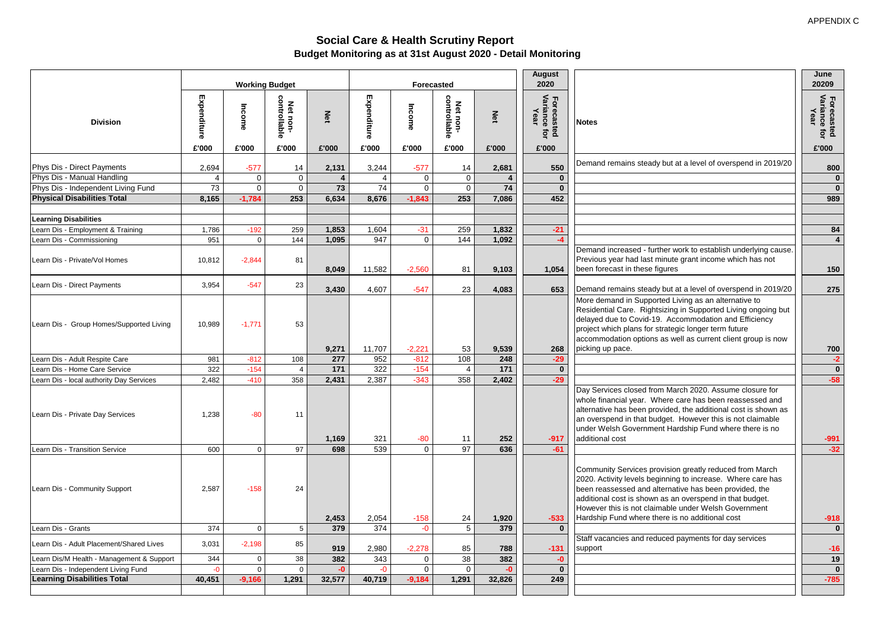#### **Social Care & Health Scrutiny Report Budget Monitoring as at 31st August 2020 - Detail Monitoring**

|                                           |                | <b>Working Budget</b> |                          |        | <b>Forecasted</b> |             |                          |        | <b>August</b><br>2020              |                                                                                                                                                                                                                                                                                                                                                         | June<br>20209                      |
|-------------------------------------------|----------------|-----------------------|--------------------------|--------|-------------------|-------------|--------------------------|--------|------------------------------------|---------------------------------------------------------------------------------------------------------------------------------------------------------------------------------------------------------------------------------------------------------------------------------------------------------------------------------------------------------|------------------------------------|
| <b>Division</b>                           | Expenditure    | Income                | Net non-<br>controllable | λěτ    | Expenditure       | Income      | Net non-<br>controllable | Net    | Forecasted<br>Variance for<br>Year | <b>Notes</b>                                                                                                                                                                                                                                                                                                                                            | Forecasted<br>Variance for<br>Year |
|                                           | £'000          | £'000                 | £'000                    | £'000  | £'000             | £'000       | £'000                    | £'000  | £'000                              |                                                                                                                                                                                                                                                                                                                                                         | £'000                              |
| Phys Dis - Direct Payments                | 2,694          | $-577$                | 14                       | 2,131  | 3,244             | $-577$      | 14                       | 2,681  | 550                                | Demand remains steady but at a level of overspend in 2019/20                                                                                                                                                                                                                                                                                            | 800                                |
| Phys Dis - Manual Handling                | $\overline{4}$ | $\mathsf 0$           | $\mathbf 0$              |        |                   | $\mathbf 0$ | $\mathbf 0$              |        | $\mathbf{0}$                       |                                                                                                                                                                                                                                                                                                                                                         | $\mathbf{0}$                       |
| Phys Dis - Independent Living Fund        | 73             | $\mathbf 0$           | $\mathbf 0$              | 73     | 74                | $\mathbf 0$ | $\Omega$                 | 74     | $\mathbf{0}$                       |                                                                                                                                                                                                                                                                                                                                                         | $\mathbf{0}$                       |
| <b>Physical Disabilities Total</b>        | 8,165          | $-1,784$              | 253                      | 6,634  | 8,676             | $-1,843$    | 253                      | 7,086  | 452                                |                                                                                                                                                                                                                                                                                                                                                         | 989                                |
|                                           |                |                       |                          |        |                   |             |                          |        |                                    |                                                                                                                                                                                                                                                                                                                                                         |                                    |
| <b>Learning Disabilities</b>              |                |                       |                          |        |                   |             |                          |        |                                    |                                                                                                                                                                                                                                                                                                                                                         |                                    |
| Learn Dis - Employment & Training         | 1,786          | $-192$                | 259                      | 1,853  | 1,604             | $-31$       | 259                      | 1,832  | $-21$                              |                                                                                                                                                                                                                                                                                                                                                         | 84                                 |
| Learn Dis - Commissioning                 | 951            | $\mathbf 0$           | 144                      | 1,095  | 947               | $\mathbf 0$ | 144                      | 1,092  | $-4$                               |                                                                                                                                                                                                                                                                                                                                                         | $\overline{4}$                     |
| Learn Dis - Private/Vol Homes             | 10,812         | $-2,844$              | 81                       | 8,049  | 11,582            | $-2,560$    | 81                       | 9,103  | 1,054                              | Demand increased - further work to establish underlying cause.<br>Previous year had last minute grant income which has not<br>been forecast in these figures                                                                                                                                                                                            | 150                                |
| Learn Dis - Direct Payments               | 3,954          | $-547$                | 23                       |        |                   |             |                          |        |                                    |                                                                                                                                                                                                                                                                                                                                                         |                                    |
|                                           |                |                       |                          | 3,430  | 4,607             | $-547$      | 23                       | 4,083  | 653                                | Demand remains steady but at a level of overspend in 2019/20                                                                                                                                                                                                                                                                                            | 275                                |
| Learn Dis - Group Homes/Supported Living  | 10,989         | $-1,771$              | 53                       | 9,271  | 11,707            | $-2,221$    | 53                       | 9,539  | 268                                | More demand in Supported Living as an alternative to<br>Residential Care. Rightsizing in Supported Living ongoing but<br>delayed due to Covid-19. Accommodation and Efficiency<br>project which plans for strategic longer term future<br>accommodation options as well as current client group is now<br>picking up pace.                              | 700                                |
| Learn Dis - Adult Respite Care            | 981            | $-812$                | 108                      | 277    | 952               | $-812$      | 108                      | 248    | $-29$                              |                                                                                                                                                                                                                                                                                                                                                         | $-2$                               |
| Learn Dis - Home Care Service             | 322            | $-154$                | $\overline{4}$           | 171    | 322               | $-154$      | $\overline{4}$           | 171    | $\mathbf 0$                        |                                                                                                                                                                                                                                                                                                                                                         | $\mathbf{0}$                       |
| Learn Dis - local authority Day Services  | 2,482          | $-410$                | 358                      | 2,431  | 2,387             | $-343$      | 358                      | 2,402  | $-29$                              |                                                                                                                                                                                                                                                                                                                                                         | $-58$                              |
| Learn Dis - Private Day Services          | 1,238          | $-80$                 | 11                       | 1,169  | 321               | $-80$       | 11                       | 252    | $-917$                             | Day Services closed from March 2020. Assume closure for<br>whole financial year. Where care has been reassessed and<br>alternative has been provided, the additional cost is shown as<br>an overspend in that budget. However this is not claimable<br>under Welsh Government Hardship Fund where there is no<br>additional cost                        | $-991$                             |
| Learn Dis - Transition Service            | 600            | $\mathbf 0$           | 97                       | 698    | 539               | $\Omega$    | 97                       | 636    | $-61$                              |                                                                                                                                                                                                                                                                                                                                                         | $-32$                              |
| Learn Dis - Community Support             | 2,587          | $-158$                | 24                       | 2,453  | 2,054             | $-158$      | 24                       | 1,920  | $-533$                             | Community Services provision greatly reduced from March<br>2020. Activity levels beginning to increase. Where care has<br>been reassessed and alternative has been provided, the<br>additional cost is shown as an overspend in that budget.<br>However this is not claimable under Welsh Government<br>Hardship Fund where there is no additional cost | $-918$                             |
| Learn Dis - Grants                        | 374            | $\mathbf 0$           | 5                        | 379    | 374               | $-0$        | $5\overline{)}$          | 379    | $\mathbf{0}$                       |                                                                                                                                                                                                                                                                                                                                                         | $\mathbf{0}$                       |
| Learn Dis - Adult Placement/Shared Lives  | 3,031          | $-2,198$              | 85                       | 919    | 2,980             | $-2,278$    | 85                       | 788    | $-131$                             | Staff vacancies and reduced payments for day services<br>support                                                                                                                                                                                                                                                                                        | $-16$                              |
| Learn Dis/M Health - Management & Support | 344            | $\mathbf 0$           | 38                       | 382    | 343               | $\mathbf 0$ | $\overline{38}$          | 382    | $-0$                               |                                                                                                                                                                                                                                                                                                                                                         | 19                                 |
| Learn Dis - Independent Living Fund       | $-0$           | $\Omega$              | $\Omega$                 | $-0$   | $-0$              | $\mathbf 0$ | $\Omega$                 | $-0$   | $\overline{0}$                     |                                                                                                                                                                                                                                                                                                                                                         | $\overline{\mathbf{0}}$            |
| <b>Learning Disabilities Total</b>        | 40,451         | $-9,166$              | 1,291                    | 32,577 | 40,719            | $-9,184$    | 1,291                    | 32,826 | 249                                |                                                                                                                                                                                                                                                                                                                                                         | $-785$                             |
|                                           |                |                       |                          |        |                   |             |                          |        |                                    |                                                                                                                                                                                                                                                                                                                                                         |                                    |